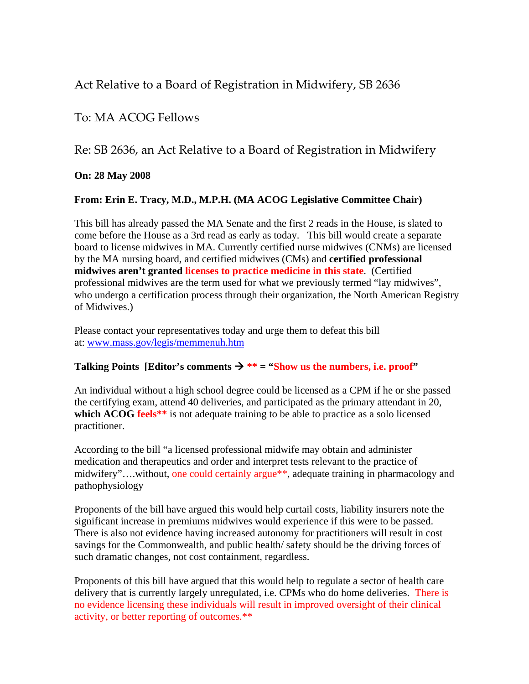# Act Relative to a Board of Registration in Midwifery, SB 2636

## To: MA ACOG Fellows

### Re: SB 2636, an Act Relative to a Board of Registration in Midwifery

### **On: 28 May 2008**

### **From: Erin E. Tracy, M.D., M.P.H. (MA ACOG Legislative Committee Chair)**

This bill has already passed the MA Senate and the first 2 reads in the House, is slated to come before the House as a 3rd read as early as today. This bill would create a separate board to license midwives in MA. Currently certified nurse midwives (CNMs) are licensed by the MA nursing board, and certified midwives (CMs) and **certified professional midwives aren't granted licenses to practice medicine in this state**. (Certified professional midwives are the term used for what we previously termed "lay midwives", who undergo a certification process through their organization, the North American Registry of Midwives.)

Please contact your representatives today and urge them to defeat this bill at: [www.mass.gov/legis/memmenuh.htm](http://www.acog.org/cgi-shl/leaving.pl?http://www.mass.gov/legis/memmenuh.htm)

#### **Talking Points [Editor's comments**  $\rightarrow$  **\*\* = "Show us the numbers, i.e. proof"**

An individual without a high school degree could be licensed as a CPM if he or she passed the certifying exam, attend 40 deliveries, and participated as the primary attendant in 20, **which ACOG feels**<sup>\*\*</sup> is not adequate training to be able to practice as a solo licensed practitioner.

According to the bill "a licensed professional midwife may obtain and administer medication and therapeutics and order and interpret tests relevant to the practice of midwifery"….without, one could certainly argue\*\*, adequate training in pharmacology and pathophysiology

Proponents of the bill have argued this would help curtail costs, liability insurers note the significant increase in premiums midwives would experience if this were to be passed. There is also not evidence having increased autonomy for practitioners will result in cost savings for the Commonwealth, and public health/ safety should be the driving forces of such dramatic changes, not cost containment, regardless.

Proponents of this bill have argued that this would help to regulate a sector of health care delivery that is currently largely unregulated, i.e. CPMs who do home deliveries. There is no evidence licensing these individuals will result in improved oversight of their clinical activity, or better reporting of outcomes.\*\*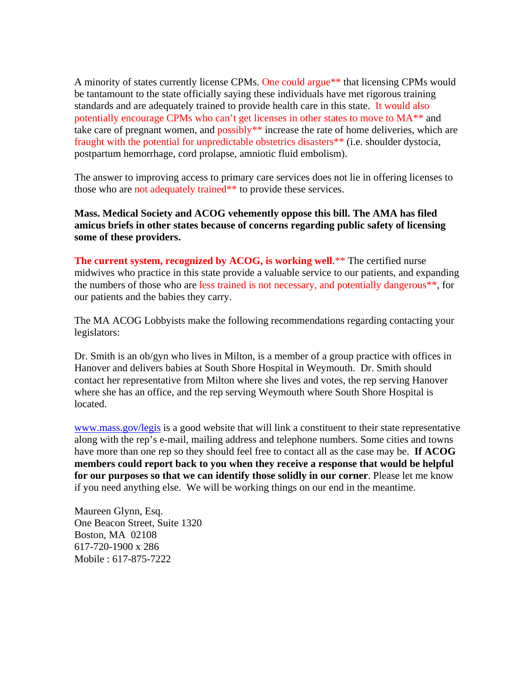A minority of states currently license CPMs. One could argue\*\* that licensing CPMs would be tantamount to the state officially saying these individuals have met rigorous training standards and are adequately trained to provide health care in this state. It would also potentially encourage CPMs who can't get licenses in other states to move to MA\*\* and take care of pregnant women, and possibly\*\* increase the rate of home deliveries, which are fraught with the potential for unpredictable obstetrics disasters\*\* (i.e. shoulder dystocia, postpartum hemorrhage, cord prolapse, amniotic fluid embolism).

The answer to improving access to primary care services does not lie in offering licenses to those who are not adequately trained\*\* to provide these services.

**Mass. Medical Society and ACOG vehemently oppose this bill. The AMA has filed amicus briefs in other states because of concerns regarding public safety of licensing some of these providers.** 

**The current system, recognized by ACOG, is working well.**\*\* The certified nurse midwives who practice in this state provide a valuable service to our patients, and expanding the numbers of those who are less trained is not necessary, and potentially dangerous\*\*, for our patients and the babies they carry.

The MA ACOG Lobbyists make the following recommendations regarding contacting your legislators:

Dr. Smith is an ob/gyn who lives in Milton, is a member of a group practice with offices in Hanover and delivers babies at South Shore Hospital in Weymouth. Dr. Smith should contact her representative from Milton where she lives and votes, the rep serving Hanover where she has an office, and the rep serving Weymouth where South Shore Hospital is located.

[www.mass.gov/legis](http://www.acog.org/cgi-shl/leaving.pl?http://www.mass.gov/legis) is a good website that will link a constituent to their state representative along with the rep's e-mail, mailing address and telephone numbers. Some cities and towns have more than one rep so they should feel free to contact all as the case may be. **If ACOG members could report back to you when they receive a response that would be helpful for our purposes so that we can identify those solidly in our corner**. Please let me know if you need anything else. We will be working things on our end in the meantime.

Maureen Glynn, Esq. One Beacon Street, Suite 1320 Boston, MA 02108 617-720-1900 x 286 Mobile : 617-875-7222